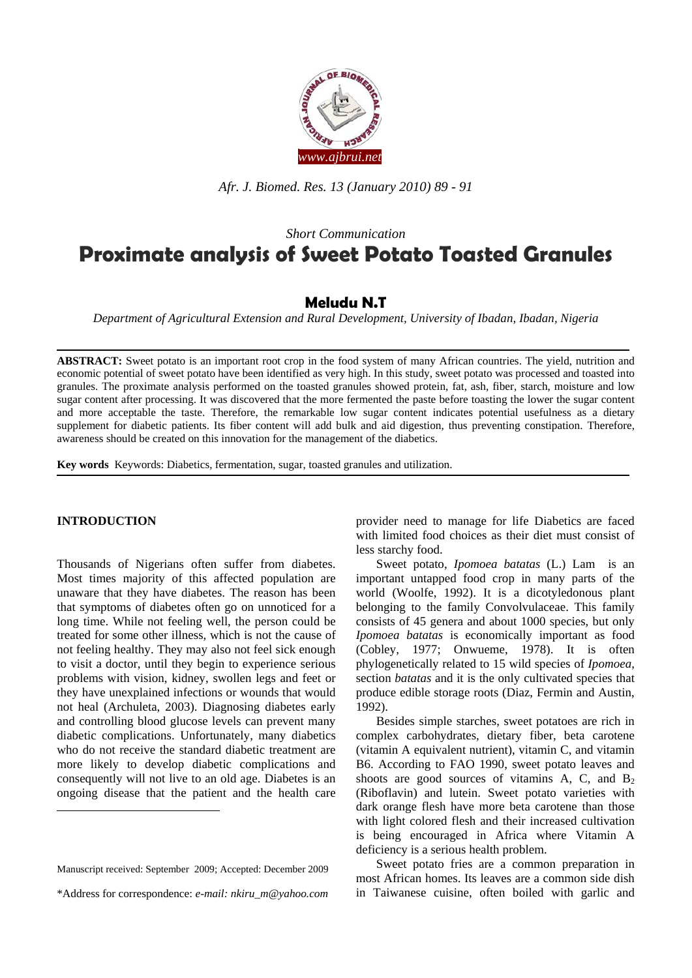

*Afr. J. Biomed. Res. 13 (January 2010) 89 - 91* 

# *Short Communication*  **Proximate analysis of Sweet Potato Toasted Granules**

## **Meludu N.T**

*Department of Agricultural Extension and Rural Development, University of Ibadan, Ibadan, Nigeria* 

**ABSTRACT:** Sweet potato is an important root crop in the food system of many African countries. The yield, nutrition and economic potential of sweet potato have been identified as very high. In this study, sweet potato was processed and toasted into granules. The proximate analysis performed on the toasted granules showed protein, fat, ash, fiber, starch, moisture and low sugar content after processing. It was discovered that the more fermented the paste before toasting the lower the sugar content and more acceptable the taste. Therefore, the remarkable low sugar content indicates potential usefulness as a dietary supplement for diabetic patients. Its fiber content will add bulk and aid digestion, thus preventing constipation. Therefore, awareness should be created on this innovation for the management of the diabetics.

**Key words** Keywords: Diabetics, fermentation, sugar, toasted granules and utilization.

#### **INTRODUCTION<sup>1</sup>**

1

Thousands of Nigerians often suffer from diabetes. Most times majority of this affected population are unaware that they have diabetes. The reason has been that symptoms of diabetes often go on unnoticed for a long time. While not feeling well, the person could be treated for some other illness, which is not the cause of not feeling healthy. They may also not feel sick enough to visit a doctor, until they begin to experience serious problems with vision, kidney, swollen legs and feet or they have unexplained infections or wounds that would not heal (Archuleta, 2003). Diagnosing diabetes early and controlling blood glucose levels can prevent many diabetic complications. Unfortunately, many diabetics who do not receive the standard diabetic treatment are more likely to develop diabetic complications and consequently will not live to an old age. Diabetes is an ongoing disease that the patient and the health care

provider need to manage for life Diabetics are faced with limited food choices as their diet must consist of less starchy food.

 Sweet potato, *Ipomoea batatas* (L.) Lam is an important untapped food crop in many parts of the world (Woolfe, 1992). It is a dicotyledonous plant belonging to the family Convolvulaceae. This family consists of 45 genera and about 1000 species, but only *Ipomoea batatas* is economically important as food (Cobley, 1977; Onwueme, 1978). It is often phylogenetically related to 15 wild species of *Ipomoea*, section *batatas* and it is the only cultivated species that produce edible storage roots (Diaz, Fermin and Austin, 1992).

 Besides simple starches, sweet potatoes are rich in complex carbohydrates, dietary fiber, beta carotene (vitamin A equivalent nutrient), vitamin C, and vitamin B6. According to FAO 1990, sweet potato leaves and shoots are good sources of vitamins A, C, and  $B_2$ (Riboflavin) and lutein. Sweet potato varieties with dark orange flesh have more beta carotene than those with light colored flesh and their increased cultivation is being encouraged in Africa where Vitamin A deficiency is a serious health problem.

 Sweet potato fries are a common preparation in most African homes. Its leaves are a common side dish in Taiwanese cuisine, often boiled with garlic and

Manuscript received: September 2009; Accepted: December 2009

<sup>\*</sup>Address for correspondence: *e-mail: nkiru\_m@yahoo.com*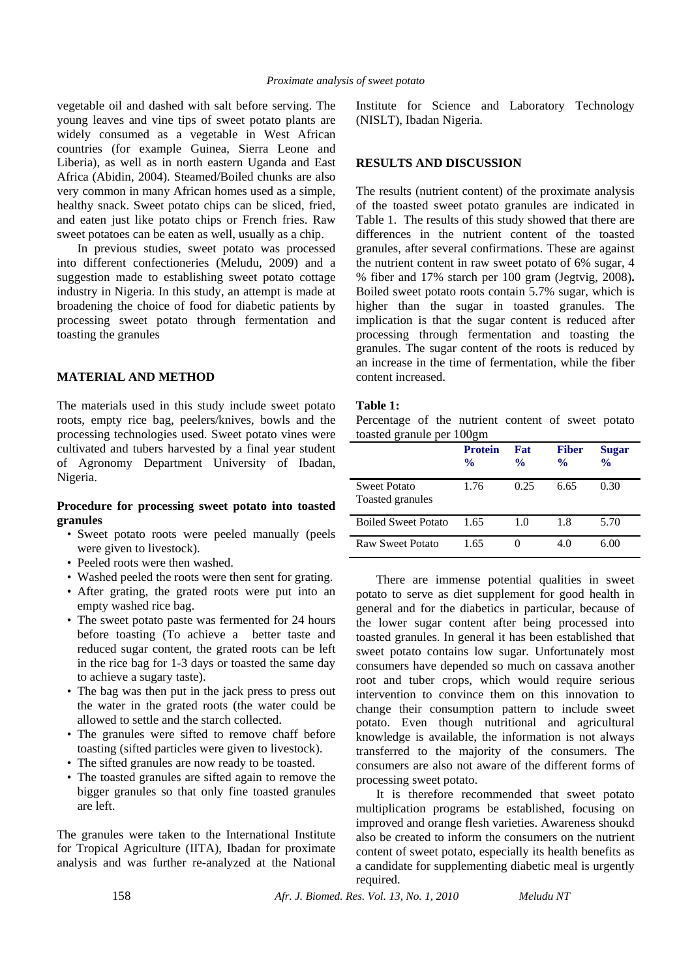vegetable oil and dashed with salt before serving. The young leaves and vine tips of sweet potato plants are widely consumed as a vegetable in West African countries (for example Guinea, Sierra Leone and Liberia), as well as in north eastern Uganda and East Africa (Abidin, 2004). Steamed/Boiled chunks are also very common in many African homes used as a simple, healthy snack. Sweet potato chips can be sliced, fried, and eaten just like potato chips or French fries. Raw sweet potatoes can be eaten as well, usually as a chip.

 In previous studies, sweet potato was processed into different confectioneries (Meludu, 2009) and a suggestion made to establishing sweet potato cottage industry in Nigeria. In this study, an attempt is made at broadening the choice of food for diabetic patients by processing sweet potato through fermentation and toasting the granules

### **MATERIAL AND METHOD**

The materials used in this study include sweet potato roots, empty rice bag, peelers/knives, bowls and the processing technologies used. Sweet potato vines were cultivated and tubers harvested by a final year student of Agronomy Department University of Ibadan, Nigeria.

#### **Procedure for processing sweet potato into toasted granules**

- Sweet potato roots were peeled manually (peels were given to livestock).
- Peeled roots were then washed.
- Washed peeled the roots were then sent for grating.
- After grating, the grated roots were put into an empty washed rice bag.
- The sweet potato paste was fermented for 24 hours before toasting (To achieve a better taste and reduced sugar content, the grated roots can be left in the rice bag for 1-3 days or toasted the same day to achieve a sugary taste).
- The bag was then put in the jack press to press out the water in the grated roots (the water could be allowed to settle and the starch collected.
- The granules were sifted to remove chaff before toasting (sifted particles were given to livestock).
- The sifted granules are now ready to be toasted.
- The toasted granules are sifted again to remove the bigger granules so that only fine toasted granules are left.

The granules were taken to the International Institute for Tropical Agriculture (IITA), Ibadan for proximate analysis and was further re-analyzed at the National Institute for Science and Laboratory Technology (NISLT), Ibadan Nigeria.

#### **RESULTS AND DISCUSSION**

The results (nutrient content) of the proximate analysis of the toasted sweet potato granules are indicated in Table 1. The results of this study showed that there are differences in the nutrient content of the toasted granules, after several confirmations. These are against the nutrient content in raw sweet potato of 6% sugar, 4 % fiber and 17% starch per 100 gram (Jegtvig, 2008)**.** Boiled sweet potato roots contain 5.7% sugar, which is higher than the sugar in toasted granules. The implication is that the sugar content is reduced after processing through fermentation and toasting the granules. The sugar content of the roots is reduced by an increase in the time of fermentation, while the fiber content increased.

#### **Table 1:**

Percentage of the nutrient content of sweet potato toasted granule per 100gm

|                                  | <b>Protein</b><br>$\frac{0}{0}$ | Fat<br>$\frac{0}{0}$ | <b>Fiber</b><br>$\frac{0}{0}$ | <b>Sugar</b><br>$\frac{0}{0}$ |
|----------------------------------|---------------------------------|----------------------|-------------------------------|-------------------------------|
| Sweet Potato<br>Toasted granules | 1.76                            | 0.25                 | 6.65                          | 0.30                          |
| <b>Boiled Sweet Potato</b>       | 1.65                            | 1.0                  | 1.8                           | 5.70                          |
| Raw Sweet Potato                 | 1.65                            |                      | 4.0                           | 6.00                          |

There are immense potential qualities in sweet potato to serve as diet supplement for good health in general and for the diabetics in particular, because of the lower sugar content after being processed into toasted granules. In general it has been established that sweet potato contains low sugar. Unfortunately most consumers have depended so much on cassava another root and tuber crops, which would require serious intervention to convince them on this innovation to change their consumption pattern to include sweet potato. Even though nutritional and agricultural knowledge is available, the information is not always transferred to the majority of the consumers. The consumers are also not aware of the different forms of processing sweet potato.

 It is therefore recommended that sweet potato multiplication programs be established, focusing on improved and orange flesh varieties. Awareness shoukd also be created to inform the consumers on the nutrient content of sweet potato, especially its health benefits as a candidate for supplementing diabetic meal is urgently required.